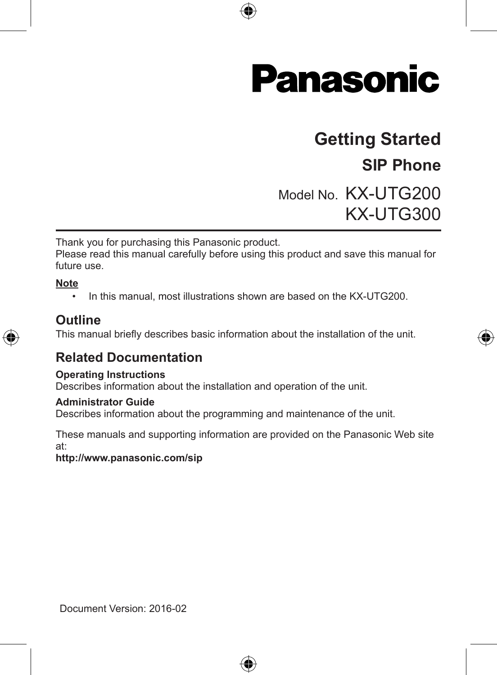

# **Getting Started**

## **SIP Phone**

◈

Model No. KX-UTG200 KX-UTG300

Thank you for purchasing this Panasonic product.

Please read this manual carefully before using this product and save this manual for future use.

#### **Note**

• In this manual, most illustrations shown are based on the KX-UTG200.



### **Outline**

This manual briefly describes basic information about the installation of the unit.

## **Related Documentation**

#### **Operating Instructions**

Describes information about the installation and operation of the unit.

#### **Administrator Guide**

Describes information about the programming and maintenance of the unit.

These manuals and supporting information are provided on the Panasonic Web site at:

⊕

**http://www.panasonic.com/sip**

Document Version: 2016-02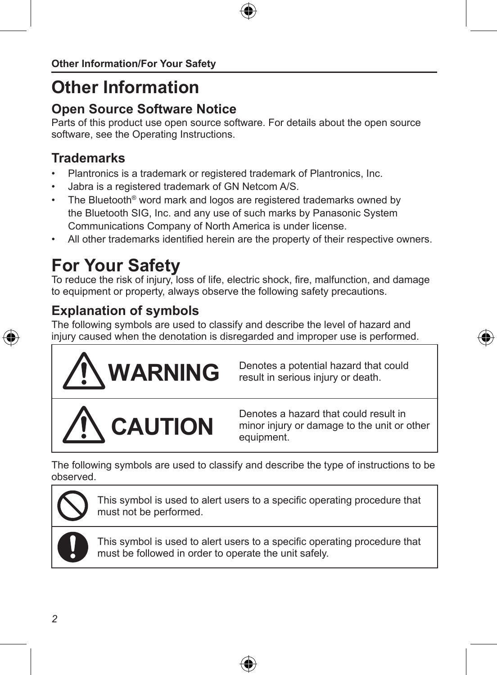# **Other Information**

## **Open Source Software Notice**

Parts of this product use open source software. For details about the open source software, see the Operating Instructions.

## **Trademarks**

- Plantronics is a trademark or registered trademark of Plantronics, Inc.
- Jabra is a registered trademark of GN Netcom A/S.
- The Bluetooth® word mark and logos are registered trademarks owned by the Bluetooth SIG, Inc. and any use of such marks by Panasonic System Communications Company of North America is under license.
- All other trademarks identified herein are the property of their respective owners.

# **For Your Safety**

To reduce the risk of injury, loss of life, electric shock, fire, malfunction, and damage to equipment or property, always observe the following safety precautions.

## **Explanation of symbols**

The following symbols are used to classify and describe the level of hazard and injury caused when the denotation is disregarded and improper use is performed.



**IARNING** Denotes a potential hazard that could result in serious injury or death.



Denotes a hazard that could result in minor injury or damage to the unit or other equipment.

The following symbols are used to classify and describe the type of instructions to be observed.

This symbol is used to alert users to a specific operating procedure that must not be performed.

This symbol is used to alert users to a specific operating procedure that must be followed in order to operate the unit safely.



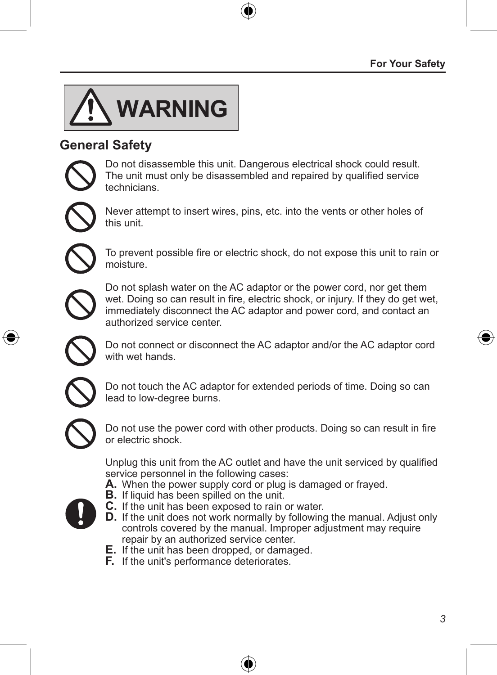

## **General Safety**

Do not disassemble this unit. Dangerous electrical shock could result. The unit must only be disassembled and repaired by qualified service technicians.



Never attempt to insert wires, pins, etc. into the vents or other holes of this unit.



To prevent possible fire or electric shock, do not expose this unit to rain or moisture.



Do not splash water on the AC adaptor or the power cord, nor get them wet. Doing so can result in fire, electric shock, or injury. If they do get wet, immediately disconnect the AC adaptor and power cord, and contact an authorized service center.

Do not connect or disconnect the AC adaptor and/or the AC adaptor cord with wet hands.



Do not touch the AC adaptor for extended periods of time. Doing so can lead to low-degree burns.



Do not use the power cord with other products. Doing so can result in fire or electric shock.

Unplug this unit from the AC outlet and have the unit serviced by qualified service personnel in the following cases:

- **A.** When the power supply cord or plug is damaged or frayed. **B.** If liquid has been spilled on the unit.
- - **C.** If the unit has been exposed to rain or water.
	- **D.** If the unit does not work normally by following the manual. Adjust only controls covered by the manual. Improper adjustment may require repair by an authorized service center.
	- **E.** If the unit has been dropped, or damaged.
	- **F.** If the unit's performance deteriorates.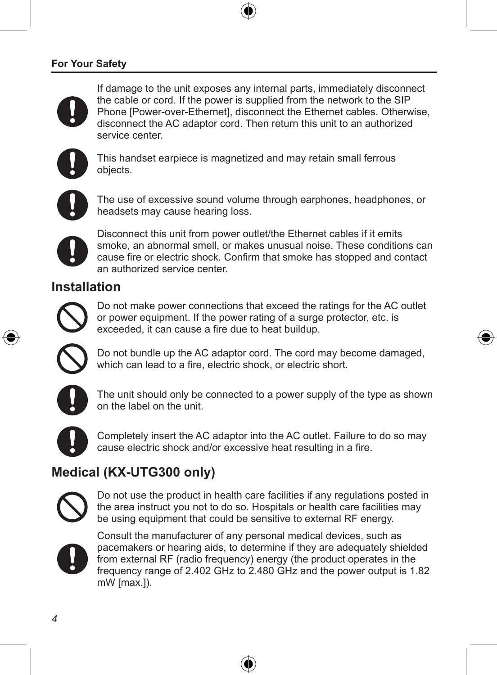### **For Your Safety**





This handset earpiece is magnetized and may retain small ferrous objects.



The use of excessive sound volume through earphones, headphones, or headsets may cause hearing loss.



Disconnect this unit from power outlet/the Ethernet cables if it emits smoke, an abnormal smell, or makes unusual noise. These conditions can cause fire or electric shock. Confirm that smoke has stopped and contact an authorized service center.

### **Installation**



Do not make power connections that exceed the ratings for the AC outlet or power equipment. If the power rating of a surge protector, etc. is exceeded, it can cause a fire due to heat buildup.



Do not bundle up the AC adaptor cord. The cord may become damaged, which can lead to a fire, electric shock, or electric short.



The unit should only be connected to a power supply of the type as shown on the label on the unit.



Completely insert the AC adaptor into the AC outlet. Failure to do so may cause electric shock and/or excessive heat resulting in a fire.

## **Medical (KX-UTG300 only)**



Do not use the product in health care facilities if any regulations posted in the area instruct you not to do so. Hospitals or health care facilities may be using equipment that could be sensitive to external RF energy.



Consult the manufacturer of any personal medical devices, such as pacemakers or hearing aids, to determine if they are adequately shielded from external RF (radio frequency) energy (the product operates in the frequency range of 2.402 GHz to 2.480 GHz and the power output is 1.82 mW [max.]).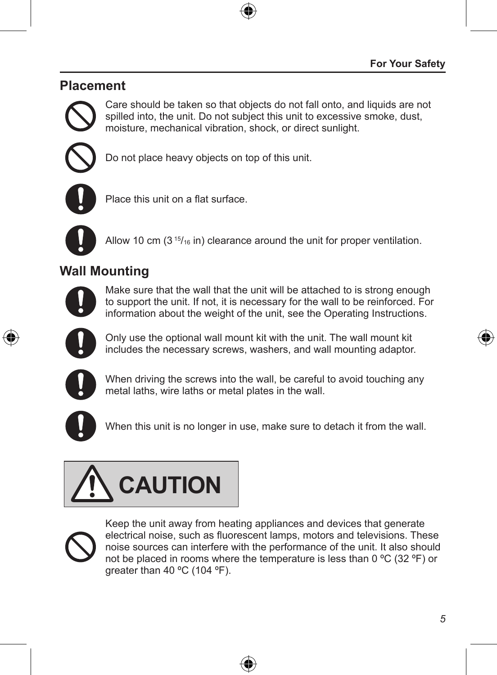## **Placement**



Care should be taken so that objects do not fall onto, and liquids are not spilled into, the unit. Do not subject this unit to excessive smoke, dust, moisture, mechanical vibration, shock, or direct sunlight.



Do not place heavy objects on top of this unit.



Place this unit on a flat surface.



Allow 10 cm  $(3<sup>15</sup>/16)$  in) clearance around the unit for proper ventilation.

## **Wall Mounting**



Make sure that the wall that the unit will be attached to is strong enough to support the unit. If not, it is necessary for the wall to be reinforced. For information about the weight of the unit, see the Operating Instructions.



Only use the optional wall mount kit with the unit. The wall mount kit includes the necessary screws, washers, and wall mounting adaptor.



When driving the screws into the wall, be careful to avoid touching any metal laths, wire laths or metal plates in the wall.



When this unit is no longer in use, make sure to detach it from the wall.





Keep the unit away from heating appliances and devices that generate electrical noise, such as fluorescent lamps, motors and televisions. These noise sources can interfere with the performance of the unit. It also should not be placed in rooms where the temperature is less than 0 ºC (32 ºF) or greater than 40 ºC (104 ºF).

4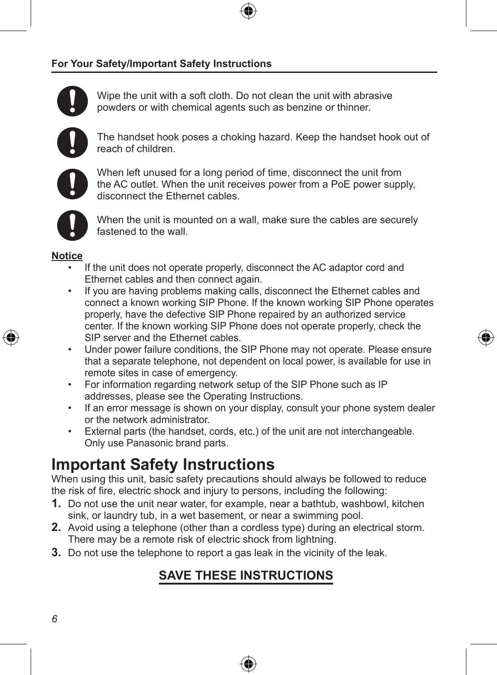#### **For Your Safety/Important Safety Instructions**



Wipe the unit with a soft cloth. Do not clean the unit with abrasive powders or with chemical agents such as benzine or thinner.



The handset hook poses a choking hazard. Keep the handset hook out of reach of children.



When left unused for a long period of time, disconnect the unit from the AC outlet. When the unit receives power from a PoE power supply, disconnect the Ethernet cables.



When the unit is mounted on a wall, make sure the cables are securely fastened to the wall.

#### **Notice**

- If the unit does not operate properly, disconnect the AC adaptor cord and Ethernet cables and then connect again.
- If you are having problems making calls, disconnect the Ethernet cables and connect a known working SIP Phone. If the known working SIP Phone operates properly, have the defective SIP Phone repaired by an authorized service center. If the known working SIP Phone does not operate properly, check the SIP server and the Ethernet cables.
- Under power failure conditions, the SIP Phone may not operate. Please ensure that a separate telephone, not dependent on local power, is available for use in remote sites in case of emergency.
- For information regarding network setup of the SIP Phone such as IP addresses, please see the Operating Instructions.
- If an error message is shown on your display, consult your phone system dealer or the network administrator.
- External parts (the handset, cords, etc.) of the unit are not interchangeable. Only use Panasonic brand parts.

## **Important Safety Instructions**

When using this unit, basic safety precautions should always be followed to reduce the risk of fire, electric shock and injury to persons, including the following:

- **1.** Do not use the unit near water, for example, near a bathtub, washbowl, kitchen sink, or laundry tub, in a wet basement, or near a swimming pool.
- **2.** Avoid using a telephone (other than a cordless type) during an electrical storm. There may be a remote risk of electric shock from lightning.
- **3.** Do not use the telephone to report a gas leak in the vicinity of the leak.

## **SAVE THESE INSTRUCTIONS**

4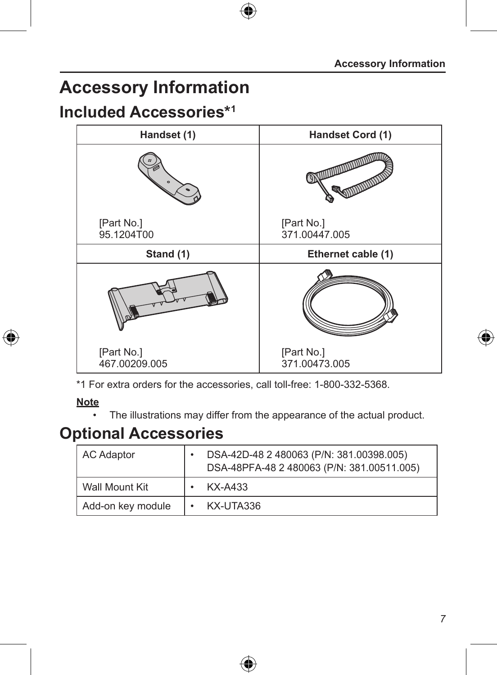# **Accessory Information**

## **Included Accessories\*1**



\*1 For extra orders for the accessories, call toll-free: 1-800-332-5368.

### **Note**

€

• The illustrations may differ from the appearance of the actual product.

## **Optional Accessories**

| AC Adaptor        | DSA-42D-48 2 480063 (P/N: 381.00398.005)<br>DSA-48PFA-48 2 480063 (P/N: 381.00511.005) |
|-------------------|----------------------------------------------------------------------------------------|
| Wall Mount Kit    | KX-A433                                                                                |
| Add-on key module | KX-UTA336                                                                              |

⊕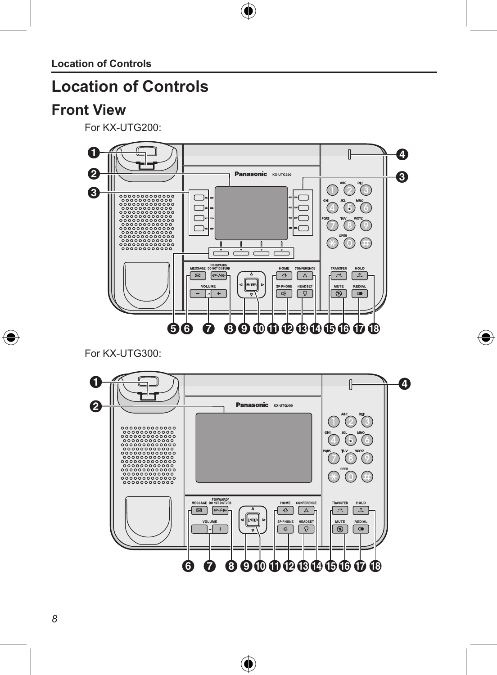**Location of Controls**

## **Location of Controls**

## **Front View**

For KX-UTG200:



 $\bigoplus$ 

♠

For KX-UTG300:



⊕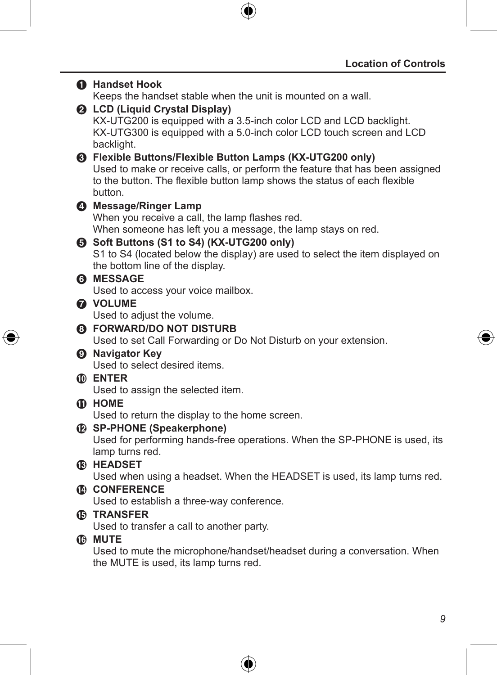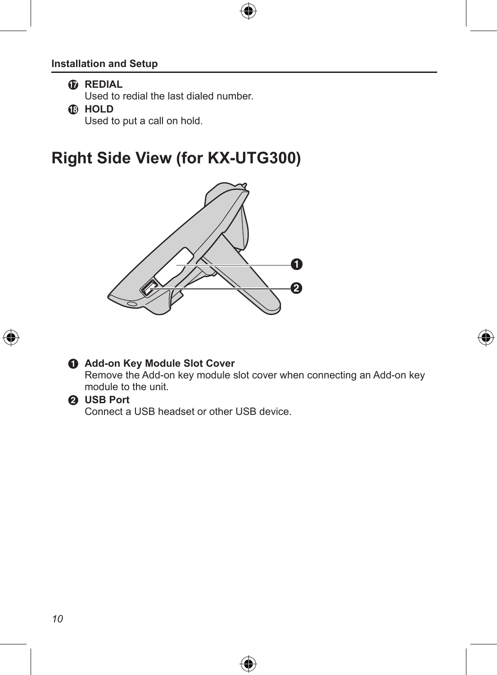### **Installation and Setup**



Used to redial the last dialed number.

R **HOLD**

Used to put a call on hold.

## **Right Side View (for KX-UTG300)**





### $\bigcirc$  Add-on Key Module Slot Cover

Remove the Add-on key module slot cover when connecting an Add-on key module to the unit.

4

#### **@** USB Port

€

Connect a USB headset or other USB device.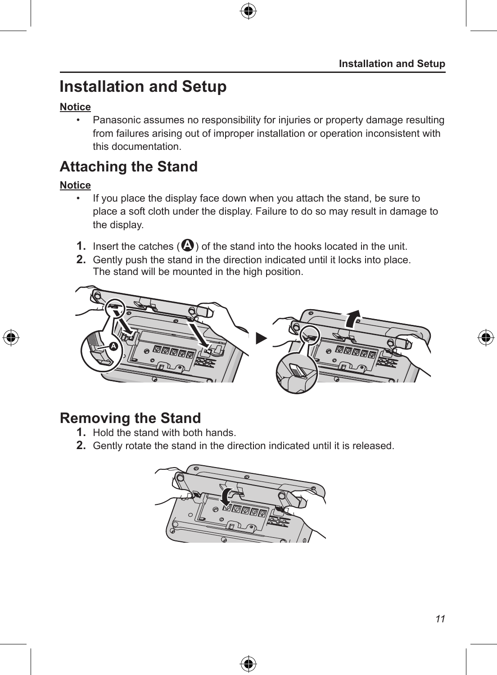## **Installation and Setup**

### **Notice**

• Panasonic assumes no responsibility for injuries or property damage resulting from failures arising out of improper installation or operation inconsistent with this documentation.

## **Attaching the Stand**

### **Notice**

- If you place the display face down when you attach the stand, be sure to place a soft cloth under the display. Failure to do so may result in damage to the display.
- **1.** Insert the catches  $(\bigcirc$  of the stand into the hooks located in the unit.
- **2.** Gently push the stand in the direction indicated until it locks into place. The stand will be mounted in the high position.



## **Removing the Stand**

- **1.** Hold the stand with both hands.
- **2.** Gently rotate the stand in the direction indicated until it is released.

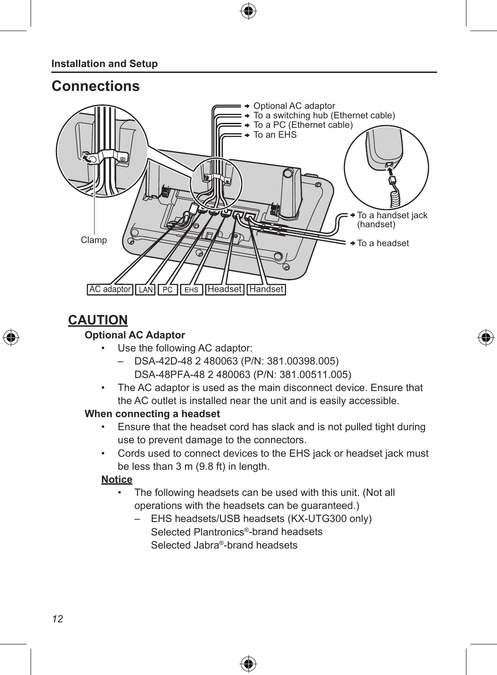### **Installation and Setup**

## **Connections**



## **CAUTION**

### **Optional AC Adaptor**

- Use the following AC adaptor:
	- DSA-42D-48 2 480063 (P/N: 381.00398.005) DSA-48PFA-48 2 480063 (P/N: 381.00511.005)
- The AC adaptor is used as the main disconnect device. Ensure that the AC outlet is installed near the unit and is easily accessible.

◈

#### **When connecting a headset**

- Ensure that the headset cord has slack and is not pulled tight during use to prevent damage to the connectors.
- Cords used to connect devices to the EHS jack or headset jack must be less than 3 m (9.8 ft) in length.

#### **Notice**

- The following headsets can be used with this unit. (Not all operations with the headsets can be guaranteed.)
	- EHS headsets/USB headsets (KX-UTG300 only) Selected Plantronics®-brand headsets Selected Jabra®-brand headsets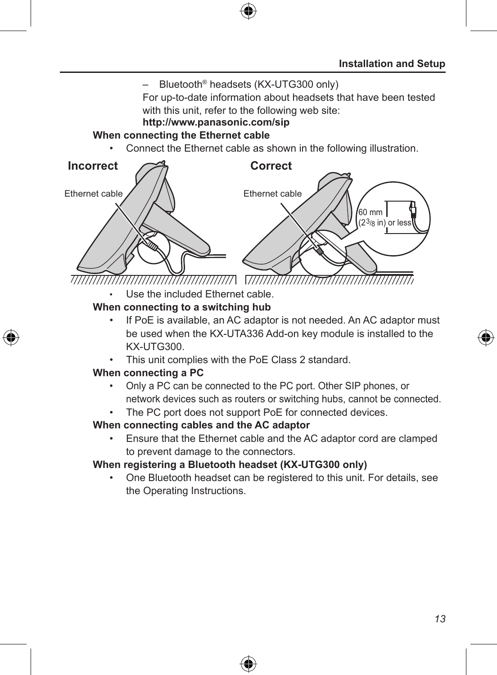

For up-to-date information about headsets that have been tested with this unit, refer to the following web site:

## **http://www.panasonic.com/sip**

#### **When connecting the Ethernet cable**

• Connect the Ethernet cable as shown in the following illustration.



• Use the included Ethernet cable.

#### **When connecting to a switching hub**

- If PoE is available, an AC adaptor is not needed. An AC adaptor must be used when the KX-UTA336 Add-on key module is installed to the KX-UTG300.
- This unit complies with the PoE Class 2 standard.

#### **When connecting a PC**

- Only a PC can be connected to the PC port. Other SIP phones, or network devices such as routers or switching hubs, cannot be connected.
- The PC port does not support PoE for connected devices.

### **When connecting cables and the AC adaptor**

• Ensure that the Ethernet cable and the AC adaptor cord are clamped to prevent damage to the connectors.

#### **When registering a Bluetooth headset (KX-UTG300 only)**

• One Bluetooth headset can be registered to this unit. For details, see the Operating Instructions.

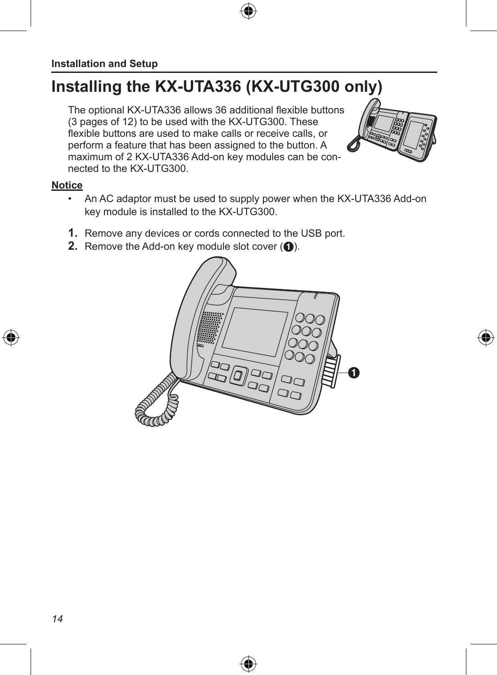## **Installing the KX-UTA336 (KX-UTG300 only)**

The optional KX-UTA336 allows 36 additional flexible buttons (3 pages of 12) to be used with the KX-UTG300. These flexible buttons are used to make calls or receive calls, or perform a feature that has been assigned to the button. A maximum of 2 KX-UTA336 Add-on key modules can be connected to the KX-UTG300.



#### **Notice**

- An AC adaptor must be used to supply power when the KX-UTA336 Add-on key module is installed to the KX-UTG300.
- **1.** Remove any devices or cords connected to the USB port.
- **2.** Remove the Add-on key module slot cover ( $\bigcirc$ ).

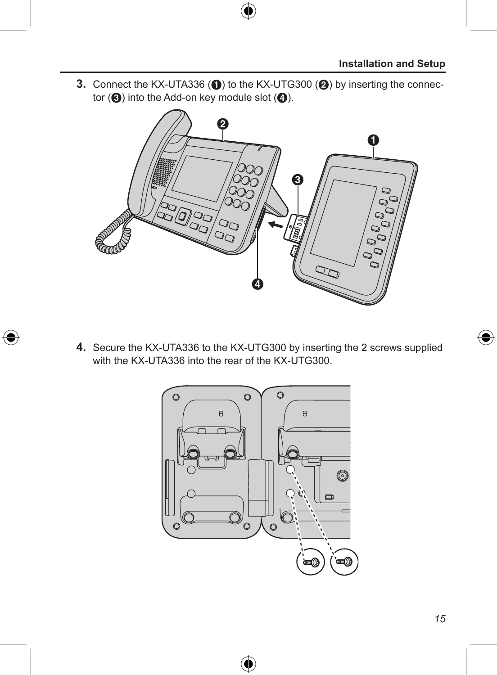**3.** Connect the KX-UTA336 ( $\textcircled{\textbf{1}}$ ) to the KX-UTG300 ( $\textcircled{\textbf{2}}$ ) by inserting the connector  $\left( \bigotimes \right)$  into the Add-on key module slot  $\left( \bigotimes \right)$ .



**4.** Secure the KX-UTA336 to the KX-UTG300 by inserting the 2 screws supplied with the KX-UTA336 into the rear of the KX-UTG300.

€



⊕

◈